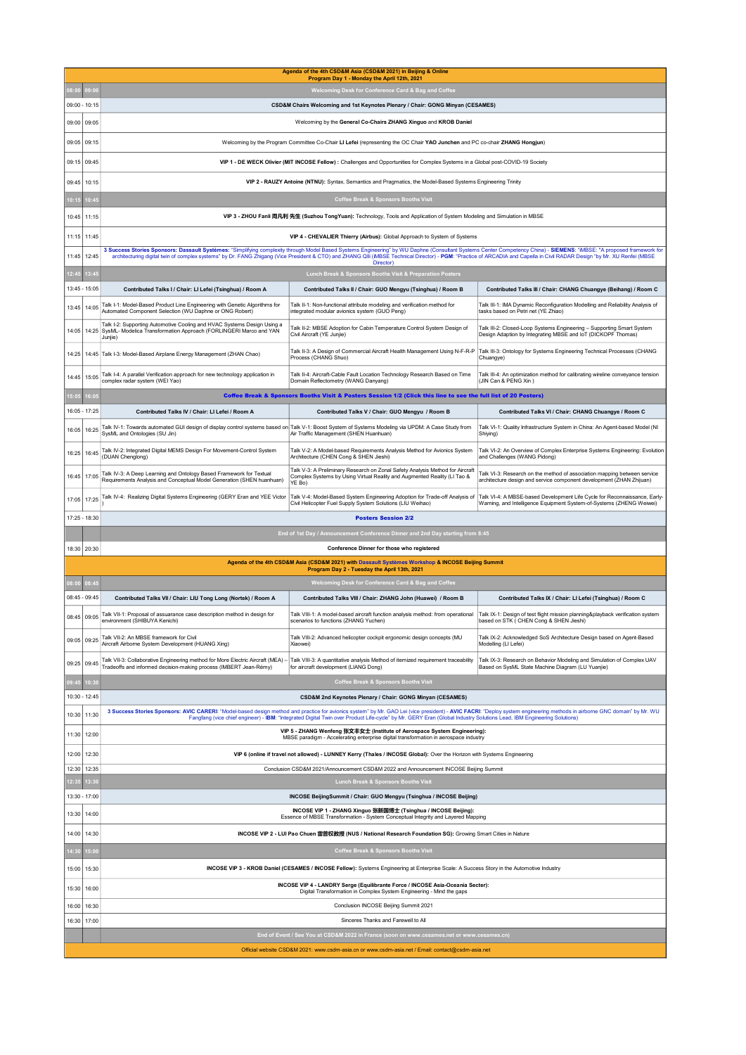| 08:00<br>9:0<br>09:00 - 10:15<br>09:05<br>09:00<br>09:05<br>09:15<br>09:15<br>09:45<br>09:45<br>10:15<br>10:15<br>10:45<br>10:45<br>11:15<br>11:15 11:45<br>12:45<br>11:45<br>12:45<br>3:45<br>13:45 - 15:05<br>13:45<br>14:05<br>14:05<br>14:25<br>Junjie)<br>14:25<br>14:45<br>15:05<br>complex radar system (WEI Yao)<br>15:05<br>6:0<br>16:05 - 17:25 | Contributed Talks I / Chair: LI Lefei (Tsinghua) / Room A<br>Talk I-1: Model-Based Product Line Engineering with Genetic Algorithms for<br>Automated Component Selection (WU Daphne or ONG Robert)<br>Talk I-2: Supporting Automotive Cooling and HVAC Systems Design Using a<br>SysML- Modelica Transformation Approach (FORLINGERI Marco and YAN<br>14:45 Talk I-3: Model-Based Airplane Energy Management (ZHAN Chao)<br>Talk I-4: A parallel Verification approach for new technology application in<br>Contributed Talks IV / Chair: LI Lefei / Room A | Program Day 1 - Monday the April 12th, 2021<br>Welcoming Desk for Conference Card & Bag and Coffee<br>CSD&M Chairs Welcoming and 1st Keynotes Plenary / Chair: GONG Minyan (CESAMES)<br>Welcoming by the General Co-Chairs ZHANG Xinguo and KROB Daniel<br>Welcoming by the Program Committee Co-Chair LI Lefei (representing the OC Chair YAO Junchen and PC co-chair ZHANG Hongjun)<br>VIP 1 - DE WECK Olivier (MIT INCOSE Fellow) : Challenges and Opportunities for Complex Systems in a Global post-COVID-19 Society<br>VIP 2 - RAUZY Antoine (NTNU): Syntax, Semantics and Pragmatics, the Model-Based Systems Engineering Trinity<br><b>Coffee Break &amp; Sponsors Booths Visit</b><br>VIP 3 - ZHOU Fanli 周凡利 先生 (Suzhou TongYuan): Technology, Tools and Application of System Modeling and Simulation in MBSE<br>VIP 4 - CHEVALIER Thierry (Airbus): Global Approach to System of Systems<br>3 Success Stories Sponsors: Dassault Systèmes: "Simplifying complexity through Model Based Systems Engineering" by WU Daphne (Consultant Systems Center Competency China) - SIEMENS: "iMBSE: "A proposed framework for<br>architecturing digital twin of complex systems" by Dr. FANG Zhigang (Vice President & CTO) and ZHANG QIIi (iMBSE Technical Director) - PGM: "Practice of ARCADIA and Capella in Civil RADAR Design "by Mr. XU Renfei (MBSE<br>Director)<br>Lunch Break & Sponsors Booths Visit & Preparation Posters<br>Contributed Talks II / Chair: GUO Mengyu (Tsinghua) / Room B<br>Talk II-1: Non-functional attribute modeling and verification method for<br>integrated modular avionics system (GUO Peng)<br>Talk II-2: MBSE Adoption for Cabin Temperature Control System Design of<br>Civil Aircraft (YE Junjie)<br>Talk II-3: A Design of Commercial Aircraft Health Management Using N-F-R-P<br>Process (CHANG Shuo)<br>Talk II-4: Aircraft-Cable Fault Location Technology Research Based on Time<br>Domain Reflectometry (WANG Danyang) | Contributed Talks III / Chair: CHANG Chuangye (Beihang) / Room C<br>Talk III-1: IMA Dynamic Reconfiguration Modelling and Reliability Analysis of<br>tasks based on Petri net (YE Zhiao)<br>Talk III-2: Closed-Loop Systems Engineering - Supporting Smart System<br>Design Adaption by Integrating MBSE and IoT (DICKOPF Thomas)<br>Talk III-3: Ontology for Systems Engineering Technical Processes (CHANG<br>Chuangye)<br>Talk III-4: An optimization method for calibrating wireline conveyance tension |  |  |
|-----------------------------------------------------------------------------------------------------------------------------------------------------------------------------------------------------------------------------------------------------------------------------------------------------------------------------------------------------------|-------------------------------------------------------------------------------------------------------------------------------------------------------------------------------------------------------------------------------------------------------------------------------------------------------------------------------------------------------------------------------------------------------------------------------------------------------------------------------------------------------------------------------------------------------------|------------------------------------------------------------------------------------------------------------------------------------------------------------------------------------------------------------------------------------------------------------------------------------------------------------------------------------------------------------------------------------------------------------------------------------------------------------------------------------------------------------------------------------------------------------------------------------------------------------------------------------------------------------------------------------------------------------------------------------------------------------------------------------------------------------------------------------------------------------------------------------------------------------------------------------------------------------------------------------------------------------------------------------------------------------------------------------------------------------------------------------------------------------------------------------------------------------------------------------------------------------------------------------------------------------------------------------------------------------------------------------------------------------------------------------------------------------------------------------------------------------------------------------------------------------------------------------------------------------------------------------------------------------------------------------------------------------------------------------------------------------------------------------------------------------------------------------------------------------------------------------------------------------------------------------------------------------------------|-------------------------------------------------------------------------------------------------------------------------------------------------------------------------------------------------------------------------------------------------------------------------------------------------------------------------------------------------------------------------------------------------------------------------------------------------------------------------------------------------------------|--|--|
|                                                                                                                                                                                                                                                                                                                                                           |                                                                                                                                                                                                                                                                                                                                                                                                                                                                                                                                                             |                                                                                                                                                                                                                                                                                                                                                                                                                                                                                                                                                                                                                                                                                                                                                                                                                                                                                                                                                                                                                                                                                                                                                                                                                                                                                                                                                                                                                                                                                                                                                                                                                                                                                                                                                                                                                                                                                                                                                                        |                                                                                                                                                                                                                                                                                                                                                                                                                                                                                                             |  |  |
|                                                                                                                                                                                                                                                                                                                                                           |                                                                                                                                                                                                                                                                                                                                                                                                                                                                                                                                                             |                                                                                                                                                                                                                                                                                                                                                                                                                                                                                                                                                                                                                                                                                                                                                                                                                                                                                                                                                                                                                                                                                                                                                                                                                                                                                                                                                                                                                                                                                                                                                                                                                                                                                                                                                                                                                                                                                                                                                                        |                                                                                                                                                                                                                                                                                                                                                                                                                                                                                                             |  |  |
|                                                                                                                                                                                                                                                                                                                                                           |                                                                                                                                                                                                                                                                                                                                                                                                                                                                                                                                                             |                                                                                                                                                                                                                                                                                                                                                                                                                                                                                                                                                                                                                                                                                                                                                                                                                                                                                                                                                                                                                                                                                                                                                                                                                                                                                                                                                                                                                                                                                                                                                                                                                                                                                                                                                                                                                                                                                                                                                                        |                                                                                                                                                                                                                                                                                                                                                                                                                                                                                                             |  |  |
|                                                                                                                                                                                                                                                                                                                                                           |                                                                                                                                                                                                                                                                                                                                                                                                                                                                                                                                                             |                                                                                                                                                                                                                                                                                                                                                                                                                                                                                                                                                                                                                                                                                                                                                                                                                                                                                                                                                                                                                                                                                                                                                                                                                                                                                                                                                                                                                                                                                                                                                                                                                                                                                                                                                                                                                                                                                                                                                                        |                                                                                                                                                                                                                                                                                                                                                                                                                                                                                                             |  |  |
|                                                                                                                                                                                                                                                                                                                                                           |                                                                                                                                                                                                                                                                                                                                                                                                                                                                                                                                                             |                                                                                                                                                                                                                                                                                                                                                                                                                                                                                                                                                                                                                                                                                                                                                                                                                                                                                                                                                                                                                                                                                                                                                                                                                                                                                                                                                                                                                                                                                                                                                                                                                                                                                                                                                                                                                                                                                                                                                                        |                                                                                                                                                                                                                                                                                                                                                                                                                                                                                                             |  |  |
|                                                                                                                                                                                                                                                                                                                                                           |                                                                                                                                                                                                                                                                                                                                                                                                                                                                                                                                                             |                                                                                                                                                                                                                                                                                                                                                                                                                                                                                                                                                                                                                                                                                                                                                                                                                                                                                                                                                                                                                                                                                                                                                                                                                                                                                                                                                                                                                                                                                                                                                                                                                                                                                                                                                                                                                                                                                                                                                                        |                                                                                                                                                                                                                                                                                                                                                                                                                                                                                                             |  |  |
|                                                                                                                                                                                                                                                                                                                                                           |                                                                                                                                                                                                                                                                                                                                                                                                                                                                                                                                                             |                                                                                                                                                                                                                                                                                                                                                                                                                                                                                                                                                                                                                                                                                                                                                                                                                                                                                                                                                                                                                                                                                                                                                                                                                                                                                                                                                                                                                                                                                                                                                                                                                                                                                                                                                                                                                                                                                                                                                                        |                                                                                                                                                                                                                                                                                                                                                                                                                                                                                                             |  |  |
|                                                                                                                                                                                                                                                                                                                                                           |                                                                                                                                                                                                                                                                                                                                                                                                                                                                                                                                                             |                                                                                                                                                                                                                                                                                                                                                                                                                                                                                                                                                                                                                                                                                                                                                                                                                                                                                                                                                                                                                                                                                                                                                                                                                                                                                                                                                                                                                                                                                                                                                                                                                                                                                                                                                                                                                                                                                                                                                                        |                                                                                                                                                                                                                                                                                                                                                                                                                                                                                                             |  |  |
|                                                                                                                                                                                                                                                                                                                                                           |                                                                                                                                                                                                                                                                                                                                                                                                                                                                                                                                                             |                                                                                                                                                                                                                                                                                                                                                                                                                                                                                                                                                                                                                                                                                                                                                                                                                                                                                                                                                                                                                                                                                                                                                                                                                                                                                                                                                                                                                                                                                                                                                                                                                                                                                                                                                                                                                                                                                                                                                                        |                                                                                                                                                                                                                                                                                                                                                                                                                                                                                                             |  |  |
|                                                                                                                                                                                                                                                                                                                                                           |                                                                                                                                                                                                                                                                                                                                                                                                                                                                                                                                                             |                                                                                                                                                                                                                                                                                                                                                                                                                                                                                                                                                                                                                                                                                                                                                                                                                                                                                                                                                                                                                                                                                                                                                                                                                                                                                                                                                                                                                                                                                                                                                                                                                                                                                                                                                                                                                                                                                                                                                                        |                                                                                                                                                                                                                                                                                                                                                                                                                                                                                                             |  |  |
|                                                                                                                                                                                                                                                                                                                                                           |                                                                                                                                                                                                                                                                                                                                                                                                                                                                                                                                                             |                                                                                                                                                                                                                                                                                                                                                                                                                                                                                                                                                                                                                                                                                                                                                                                                                                                                                                                                                                                                                                                                                                                                                                                                                                                                                                                                                                                                                                                                                                                                                                                                                                                                                                                                                                                                                                                                                                                                                                        |                                                                                                                                                                                                                                                                                                                                                                                                                                                                                                             |  |  |
|                                                                                                                                                                                                                                                                                                                                                           |                                                                                                                                                                                                                                                                                                                                                                                                                                                                                                                                                             |                                                                                                                                                                                                                                                                                                                                                                                                                                                                                                                                                                                                                                                                                                                                                                                                                                                                                                                                                                                                                                                                                                                                                                                                                                                                                                                                                                                                                                                                                                                                                                                                                                                                                                                                                                                                                                                                                                                                                                        |                                                                                                                                                                                                                                                                                                                                                                                                                                                                                                             |  |  |
|                                                                                                                                                                                                                                                                                                                                                           |                                                                                                                                                                                                                                                                                                                                                                                                                                                                                                                                                             |                                                                                                                                                                                                                                                                                                                                                                                                                                                                                                                                                                                                                                                                                                                                                                                                                                                                                                                                                                                                                                                                                                                                                                                                                                                                                                                                                                                                                                                                                                                                                                                                                                                                                                                                                                                                                                                                                                                                                                        |                                                                                                                                                                                                                                                                                                                                                                                                                                                                                                             |  |  |
|                                                                                                                                                                                                                                                                                                                                                           |                                                                                                                                                                                                                                                                                                                                                                                                                                                                                                                                                             |                                                                                                                                                                                                                                                                                                                                                                                                                                                                                                                                                                                                                                                                                                                                                                                                                                                                                                                                                                                                                                                                                                                                                                                                                                                                                                                                                                                                                                                                                                                                                                                                                                                                                                                                                                                                                                                                                                                                                                        |                                                                                                                                                                                                                                                                                                                                                                                                                                                                                                             |  |  |
|                                                                                                                                                                                                                                                                                                                                                           |                                                                                                                                                                                                                                                                                                                                                                                                                                                                                                                                                             |                                                                                                                                                                                                                                                                                                                                                                                                                                                                                                                                                                                                                                                                                                                                                                                                                                                                                                                                                                                                                                                                                                                                                                                                                                                                                                                                                                                                                                                                                                                                                                                                                                                                                                                                                                                                                                                                                                                                                                        |                                                                                                                                                                                                                                                                                                                                                                                                                                                                                                             |  |  |
|                                                                                                                                                                                                                                                                                                                                                           |                                                                                                                                                                                                                                                                                                                                                                                                                                                                                                                                                             |                                                                                                                                                                                                                                                                                                                                                                                                                                                                                                                                                                                                                                                                                                                                                                                                                                                                                                                                                                                                                                                                                                                                                                                                                                                                                                                                                                                                                                                                                                                                                                                                                                                                                                                                                                                                                                                                                                                                                                        |                                                                                                                                                                                                                                                                                                                                                                                                                                                                                                             |  |  |
|                                                                                                                                                                                                                                                                                                                                                           |                                                                                                                                                                                                                                                                                                                                                                                                                                                                                                                                                             | Coffee Break & Sponsors Booths Visit & Posters Session 1/2 (Click this line to see the full list of 20 Posters)                                                                                                                                                                                                                                                                                                                                                                                                                                                                                                                                                                                                                                                                                                                                                                                                                                                                                                                                                                                                                                                                                                                                                                                                                                                                                                                                                                                                                                                                                                                                                                                                                                                                                                                                                                                                                                                        | (JIN Can & PENG Xin)                                                                                                                                                                                                                                                                                                                                                                                                                                                                                        |  |  |
|                                                                                                                                                                                                                                                                                                                                                           |                                                                                                                                                                                                                                                                                                                                                                                                                                                                                                                                                             | Contributed Talks V / Chair: GUO Mengyu / Room B                                                                                                                                                                                                                                                                                                                                                                                                                                                                                                                                                                                                                                                                                                                                                                                                                                                                                                                                                                                                                                                                                                                                                                                                                                                                                                                                                                                                                                                                                                                                                                                                                                                                                                                                                                                                                                                                                                                       | Contributed Talks VI / Chair: CHANG Chuangye / Room C                                                                                                                                                                                                                                                                                                                                                                                                                                                       |  |  |
|                                                                                                                                                                                                                                                                                                                                                           |                                                                                                                                                                                                                                                                                                                                                                                                                                                                                                                                                             | Talk IV-1: Towards automated GUI design of display control systems based on Talk V-1: Boost System of Systems Modeling via UPDM: A Case Study from                                                                                                                                                                                                                                                                                                                                                                                                                                                                                                                                                                                                                                                                                                                                                                                                                                                                                                                                                                                                                                                                                                                                                                                                                                                                                                                                                                                                                                                                                                                                                                                                                                                                                                                                                                                                                     | Talk VI-1: Quality Infrastructure System in China: An Agent-based Model (NI                                                                                                                                                                                                                                                                                                                                                                                                                                 |  |  |
| 16:05<br>16:25<br>SysML and Ontologies (SU Jin)                                                                                                                                                                                                                                                                                                           |                                                                                                                                                                                                                                                                                                                                                                                                                                                                                                                                                             | Air Traffic Management (SHEN Huanhuan)                                                                                                                                                                                                                                                                                                                                                                                                                                                                                                                                                                                                                                                                                                                                                                                                                                                                                                                                                                                                                                                                                                                                                                                                                                                                                                                                                                                                                                                                                                                                                                                                                                                                                                                                                                                                                                                                                                                                 | Shiying)                                                                                                                                                                                                                                                                                                                                                                                                                                                                                                    |  |  |
| 16:45<br>16:25<br>(DUAN Chenglong)                                                                                                                                                                                                                                                                                                                        | Talk IV-2: Integrated Digital MEMS Design For Movement-Control System                                                                                                                                                                                                                                                                                                                                                                                                                                                                                       | Talk V-2: A Model-based Requirements Analysis Method for Avionics System<br>Architecture (CHEN Cong & SHEN Jieshi)                                                                                                                                                                                                                                                                                                                                                                                                                                                                                                                                                                                                                                                                                                                                                                                                                                                                                                                                                                                                                                                                                                                                                                                                                                                                                                                                                                                                                                                                                                                                                                                                                                                                                                                                                                                                                                                     | Talk VI-2: An Overview of Complex Enterprise Systems Engineering: Evolution<br>and Challenges (WANG Pidong)                                                                                                                                                                                                                                                                                                                                                                                                 |  |  |
| 16:45<br>17:05                                                                                                                                                                                                                                                                                                                                            | Talk IV-3: A Deep Learning and Ontology Based Framework for Textual<br>Requirements Analysis and Conceptual Model Generation (SHEN huanhuan)                                                                                                                                                                                                                                                                                                                                                                                                                | Talk V-3: A Preliminary Research on Zonal Safety Analysis Method for Aircraft<br>Complex Systems by Using Virtual Reality and Augmented Reality (LI Tao &<br>YE Bo)                                                                                                                                                                                                                                                                                                                                                                                                                                                                                                                                                                                                                                                                                                                                                                                                                                                                                                                                                                                                                                                                                                                                                                                                                                                                                                                                                                                                                                                                                                                                                                                                                                                                                                                                                                                                    | Talk VI-3: Research on the method of association mapping between service<br>architecture design and service component development (ZHAN Zhijuan)                                                                                                                                                                                                                                                                                                                                                            |  |  |
| 17:25<br>17:05                                                                                                                                                                                                                                                                                                                                            | Talk IV-4: Realizing Digital Systems Engineering (GERY Eran and YEE Victor                                                                                                                                                                                                                                                                                                                                                                                                                                                                                  | Talk V-4: Model-Based System Engineering Adoption for Trade-off Analysis of<br>Civil Helicopter Fuel Supply System Solutions (LIU Weihao)                                                                                                                                                                                                                                                                                                                                                                                                                                                                                                                                                                                                                                                                                                                                                                                                                                                                                                                                                                                                                                                                                                                                                                                                                                                                                                                                                                                                                                                                                                                                                                                                                                                                                                                                                                                                                              | Talk VI-4: A MBSE-based Development Life Cycle for Reconnaissance, Early-<br>Warning, and Intelligence Equipment System-of-Systems (ZHENG Weiwei)                                                                                                                                                                                                                                                                                                                                                           |  |  |
| 17:25 - 18:30                                                                                                                                                                                                                                                                                                                                             | <b>Posters Session 2/2</b>                                                                                                                                                                                                                                                                                                                                                                                                                                                                                                                                  |                                                                                                                                                                                                                                                                                                                                                                                                                                                                                                                                                                                                                                                                                                                                                                                                                                                                                                                                                                                                                                                                                                                                                                                                                                                                                                                                                                                                                                                                                                                                                                                                                                                                                                                                                                                                                                                                                                                                                                        |                                                                                                                                                                                                                                                                                                                                                                                                                                                                                                             |  |  |
|                                                                                                                                                                                                                                                                                                                                                           | End of 1st Day / Announcement Conference Dinner and 2nd Day starting from 8:45                                                                                                                                                                                                                                                                                                                                                                                                                                                                              |                                                                                                                                                                                                                                                                                                                                                                                                                                                                                                                                                                                                                                                                                                                                                                                                                                                                                                                                                                                                                                                                                                                                                                                                                                                                                                                                                                                                                                                                                                                                                                                                                                                                                                                                                                                                                                                                                                                                                                        |                                                                                                                                                                                                                                                                                                                                                                                                                                                                                                             |  |  |
| 18:30 20:30                                                                                                                                                                                                                                                                                                                                               |                                                                                                                                                                                                                                                                                                                                                                                                                                                                                                                                                             | Conference Dinner for those who registered<br>Agenda of the 4th CSD&M Asia (CSD&M 2021) with Dassault Systèmes Workshop & INCOSE Beijing Summit                                                                                                                                                                                                                                                                                                                                                                                                                                                                                                                                                                                                                                                                                                                                                                                                                                                                                                                                                                                                                                                                                                                                                                                                                                                                                                                                                                                                                                                                                                                                                                                                                                                                                                                                                                                                                        |                                                                                                                                                                                                                                                                                                                                                                                                                                                                                                             |  |  |
|                                                                                                                                                                                                                                                                                                                                                           |                                                                                                                                                                                                                                                                                                                                                                                                                                                                                                                                                             | Program Day 2 - Tuesday the April 13th, 2021                                                                                                                                                                                                                                                                                                                                                                                                                                                                                                                                                                                                                                                                                                                                                                                                                                                                                                                                                                                                                                                                                                                                                                                                                                                                                                                                                                                                                                                                                                                                                                                                                                                                                                                                                                                                                                                                                                                           |                                                                                                                                                                                                                                                                                                                                                                                                                                                                                                             |  |  |
| 08:45<br>08:00<br>08:45 - 09:45                                                                                                                                                                                                                                                                                                                           | Contributed Talks VII / Chair: LIU Tong Long (Nortek) / Room A                                                                                                                                                                                                                                                                                                                                                                                                                                                                                              | Welcoming Desk for Conference Card & Bag and Coffee<br>Contributed Talks VIII / Chair: ZHANG John (Huawei) / Room B                                                                                                                                                                                                                                                                                                                                                                                                                                                                                                                                                                                                                                                                                                                                                                                                                                                                                                                                                                                                                                                                                                                                                                                                                                                                                                                                                                                                                                                                                                                                                                                                                                                                                                                                                                                                                                                    | Contributed Talks IX / Chair: LI Lefei (Tsinghua) / Room C                                                                                                                                                                                                                                                                                                                                                                                                                                                  |  |  |
| 08:45 09:05                                                                                                                                                                                                                                                                                                                                               | Talk VII-1: Proposal of assuarance case description method in design for                                                                                                                                                                                                                                                                                                                                                                                                                                                                                    | Talk VIII-1: A model-based aircraft function analysis method: from operational                                                                                                                                                                                                                                                                                                                                                                                                                                                                                                                                                                                                                                                                                                                                                                                                                                                                                                                                                                                                                                                                                                                                                                                                                                                                                                                                                                                                                                                                                                                                                                                                                                                                                                                                                                                                                                                                                         | Talk IX-1: Design of test flight mission planning&playback verification system                                                                                                                                                                                                                                                                                                                                                                                                                              |  |  |
| environment (SHIBUYA Kenichi)<br>Talk VII-2: An MBSE framework for Civil                                                                                                                                                                                                                                                                                  |                                                                                                                                                                                                                                                                                                                                                                                                                                                                                                                                                             | scenarios to functions (ZHANG Yuchen)<br>Talk VIII-2: Advanced helicopter cockpit ergonomic design concepts (MU                                                                                                                                                                                                                                                                                                                                                                                                                                                                                                                                                                                                                                                                                                                                                                                                                                                                                                                                                                                                                                                                                                                                                                                                                                                                                                                                                                                                                                                                                                                                                                                                                                                                                                                                                                                                                                                        | based on STK ( CHEN Cong & SHEN Jieshi)<br>Talk IX-2: Acknowledged SoS Architecture Design based on Agent-Based                                                                                                                                                                                                                                                                                                                                                                                             |  |  |
| 09:05<br>09:25                                                                                                                                                                                                                                                                                                                                            | Aircraft Airborne System Development (HUANG Xing)                                                                                                                                                                                                                                                                                                                                                                                                                                                                                                           | Xiaowei)                                                                                                                                                                                                                                                                                                                                                                                                                                                                                                                                                                                                                                                                                                                                                                                                                                                                                                                                                                                                                                                                                                                                                                                                                                                                                                                                                                                                                                                                                                                                                                                                                                                                                                                                                                                                                                                                                                                                                               | Modelling (LI Lefei)                                                                                                                                                                                                                                                                                                                                                                                                                                                                                        |  |  |
| 09:25<br>09:45                                                                                                                                                                                                                                                                                                                                            | Talk VII-3: Collaborative Engineering method for More Electric Aircraft (MEA)<br>Tradeoffs and informed decision-making process (IMBERT Jean-Rémy)                                                                                                                                                                                                                                                                                                                                                                                                          | Talk VIII-3: A quantitative analysis Method of itemized requirement traceability<br>for aircraft development (LIANG Dong)                                                                                                                                                                                                                                                                                                                                                                                                                                                                                                                                                                                                                                                                                                                                                                                                                                                                                                                                                                                                                                                                                                                                                                                                                                                                                                                                                                                                                                                                                                                                                                                                                                                                                                                                                                                                                                              | Talk IX-3: Research on Behavior Modeling and Simulation of Complex UAV<br>Based on SysML State Machine Diagram (LU Yuanjie)                                                                                                                                                                                                                                                                                                                                                                                 |  |  |
| 9:45<br>10:3                                                                                                                                                                                                                                                                                                                                              | Coffee Break & Sponsors Booths Visit                                                                                                                                                                                                                                                                                                                                                                                                                                                                                                                        |                                                                                                                                                                                                                                                                                                                                                                                                                                                                                                                                                                                                                                                                                                                                                                                                                                                                                                                                                                                                                                                                                                                                                                                                                                                                                                                                                                                                                                                                                                                                                                                                                                                                                                                                                                                                                                                                                                                                                                        |                                                                                                                                                                                                                                                                                                                                                                                                                                                                                                             |  |  |
| 10:30 - 12:45<br>10:30<br>11:30                                                                                                                                                                                                                                                                                                                           | CSD&M 2nd Keynotes Plenary / Chair: GONG Minyan (CESAMES)<br>3 Success Stories Sponsors: AVIC CARERI: "Model-based design method and practice for avionics system" by Mr. GAO Lei (vice president) - AVIC FACRI: "Deploy system engineering methods in airborne GNC domain" by Mr. WU                                                                                                                                                                                                                                                                       |                                                                                                                                                                                                                                                                                                                                                                                                                                                                                                                                                                                                                                                                                                                                                                                                                                                                                                                                                                                                                                                                                                                                                                                                                                                                                                                                                                                                                                                                                                                                                                                                                                                                                                                                                                                                                                                                                                                                                                        |                                                                                                                                                                                                                                                                                                                                                                                                                                                                                                             |  |  |
|                                                                                                                                                                                                                                                                                                                                                           | Fangfang (vice chief engineer) - IBM: "Integrated Digital Twin over Product Life-cycle" by Mr. GERY Eran (Global Industry Solutions Lead, IBM Engineering Solutions)<br>VIP 5 - ZHANG Wenfeng 张文丰女士 (Institute of Aerospace System Engineering):                                                                                                                                                                                                                                                                                                            |                                                                                                                                                                                                                                                                                                                                                                                                                                                                                                                                                                                                                                                                                                                                                                                                                                                                                                                                                                                                                                                                                                                                                                                                                                                                                                                                                                                                                                                                                                                                                                                                                                                                                                                                                                                                                                                                                                                                                                        |                                                                                                                                                                                                                                                                                                                                                                                                                                                                                                             |  |  |
| 11:30<br>12:00                                                                                                                                                                                                                                                                                                                                            | MBSE paradigm - Accelerating enterprise digital transformation in aerospace industry                                                                                                                                                                                                                                                                                                                                                                                                                                                                        |                                                                                                                                                                                                                                                                                                                                                                                                                                                                                                                                                                                                                                                                                                                                                                                                                                                                                                                                                                                                                                                                                                                                                                                                                                                                                                                                                                                                                                                                                                                                                                                                                                                                                                                                                                                                                                                                                                                                                                        |                                                                                                                                                                                                                                                                                                                                                                                                                                                                                                             |  |  |
| 12:00<br>12:30<br>12:35<br>12:30                                                                                                                                                                                                                                                                                                                          | VIP 6 (online if travel not allowed) - LUNNEY Kerry (Thales / INCOSE Global): Over the Horizon with Systems Engineering<br>Conclusion CSD&M 2021/Announcement CSD&M 2022 and Announcement INCOSE Beijing Summit                                                                                                                                                                                                                                                                                                                                             |                                                                                                                                                                                                                                                                                                                                                                                                                                                                                                                                                                                                                                                                                                                                                                                                                                                                                                                                                                                                                                                                                                                                                                                                                                                                                                                                                                                                                                                                                                                                                                                                                                                                                                                                                                                                                                                                                                                                                                        |                                                                                                                                                                                                                                                                                                                                                                                                                                                                                                             |  |  |
| 3:3(<br>12:35                                                                                                                                                                                                                                                                                                                                             | Lunch Break & Sponsors Booths Visit                                                                                                                                                                                                                                                                                                                                                                                                                                                                                                                         |                                                                                                                                                                                                                                                                                                                                                                                                                                                                                                                                                                                                                                                                                                                                                                                                                                                                                                                                                                                                                                                                                                                                                                                                                                                                                                                                                                                                                                                                                                                                                                                                                                                                                                                                                                                                                                                                                                                                                                        |                                                                                                                                                                                                                                                                                                                                                                                                                                                                                                             |  |  |
| 13:30 - 17:00                                                                                                                                                                                                                                                                                                                                             | INCOSE BeijingSummit / Chair: GUO Mengyu (Tsinghua / INCOSE Beijing)                                                                                                                                                                                                                                                                                                                                                                                                                                                                                        |                                                                                                                                                                                                                                                                                                                                                                                                                                                                                                                                                                                                                                                                                                                                                                                                                                                                                                                                                                                                                                                                                                                                                                                                                                                                                                                                                                                                                                                                                                                                                                                                                                                                                                                                                                                                                                                                                                                                                                        |                                                                                                                                                                                                                                                                                                                                                                                                                                                                                                             |  |  |
| 13:30<br>14:00                                                                                                                                                                                                                                                                                                                                            | INCOSE VIP 1 - ZHANG Xinguo 张新国博士 (Tsinghua / INCOSE Beijing):<br>Essence of MBSE Transformation - System Conceptual Integrity and Layered Mapping                                                                                                                                                                                                                                                                                                                                                                                                          |                                                                                                                                                                                                                                                                                                                                                                                                                                                                                                                                                                                                                                                                                                                                                                                                                                                                                                                                                                                                                                                                                                                                                                                                                                                                                                                                                                                                                                                                                                                                                                                                                                                                                                                                                                                                                                                                                                                                                                        |                                                                                                                                                                                                                                                                                                                                                                                                                                                                                                             |  |  |
| 14:00<br>14:30                                                                                                                                                                                                                                                                                                                                            | INCOSE VIP 2 - LUI Pao Chuen 雷普权教授 (NUS / National Research Foundation SG): Growing Smart Cities in Nature                                                                                                                                                                                                                                                                                                                                                                                                                                                  |                                                                                                                                                                                                                                                                                                                                                                                                                                                                                                                                                                                                                                                                                                                                                                                                                                                                                                                                                                                                                                                                                                                                                                                                                                                                                                                                                                                                                                                                                                                                                                                                                                                                                                                                                                                                                                                                                                                                                                        |                                                                                                                                                                                                                                                                                                                                                                                                                                                                                                             |  |  |
| 4:30<br>5:0                                                                                                                                                                                                                                                                                                                                               | <b>Coffee Break &amp; Sponsors Booths Visit</b>                                                                                                                                                                                                                                                                                                                                                                                                                                                                                                             |                                                                                                                                                                                                                                                                                                                                                                                                                                                                                                                                                                                                                                                                                                                                                                                                                                                                                                                                                                                                                                                                                                                                                                                                                                                                                                                                                                                                                                                                                                                                                                                                                                                                                                                                                                                                                                                                                                                                                                        |                                                                                                                                                                                                                                                                                                                                                                                                                                                                                                             |  |  |
| 15:00<br>15:30                                                                                                                                                                                                                                                                                                                                            | INCOSE VIP 3 - KROB Daniel (CESAMES / INCOSE Fellow): Systems Engineering at Enterprise Scale: A Success Story in the Automotive Industry                                                                                                                                                                                                                                                                                                                                                                                                                   |                                                                                                                                                                                                                                                                                                                                                                                                                                                                                                                                                                                                                                                                                                                                                                                                                                                                                                                                                                                                                                                                                                                                                                                                                                                                                                                                                                                                                                                                                                                                                                                                                                                                                                                                                                                                                                                                                                                                                                        |                                                                                                                                                                                                                                                                                                                                                                                                                                                                                                             |  |  |
| 15:30<br>16:00                                                                                                                                                                                                                                                                                                                                            | INCOSE VIP 4 - LANDRY Serge (Equilibrante Force / INCOSE Asia-Oceania Secter):<br>Digital Transformation in Complex System Engineering - Mind the gaps                                                                                                                                                                                                                                                                                                                                                                                                      |                                                                                                                                                                                                                                                                                                                                                                                                                                                                                                                                                                                                                                                                                                                                                                                                                                                                                                                                                                                                                                                                                                                                                                                                                                                                                                                                                                                                                                                                                                                                                                                                                                                                                                                                                                                                                                                                                                                                                                        |                                                                                                                                                                                                                                                                                                                                                                                                                                                                                                             |  |  |
| 16:00<br>16:30                                                                                                                                                                                                                                                                                                                                            | Conclusion INCOSE Beijing Summit 2021                                                                                                                                                                                                                                                                                                                                                                                                                                                                                                                       |                                                                                                                                                                                                                                                                                                                                                                                                                                                                                                                                                                                                                                                                                                                                                                                                                                                                                                                                                                                                                                                                                                                                                                                                                                                                                                                                                                                                                                                                                                                                                                                                                                                                                                                                                                                                                                                                                                                                                                        |                                                                                                                                                                                                                                                                                                                                                                                                                                                                                                             |  |  |
| 16:30<br>17:00                                                                                                                                                                                                                                                                                                                                            | Sinceres Thanks and Farewell to All                                                                                                                                                                                                                                                                                                                                                                                                                                                                                                                         |                                                                                                                                                                                                                                                                                                                                                                                                                                                                                                                                                                                                                                                                                                                                                                                                                                                                                                                                                                                                                                                                                                                                                                                                                                                                                                                                                                                                                                                                                                                                                                                                                                                                                                                                                                                                                                                                                                                                                                        |                                                                                                                                                                                                                                                                                                                                                                                                                                                                                                             |  |  |
|                                                                                                                                                                                                                                                                                                                                                           |                                                                                                                                                                                                                                                                                                                                                                                                                                                                                                                                                             | End of Event / See You at CSD&M 2022 in France (soon on www.cesames.net or www.cesames.cn)<br>Official website CSD&M 2021: www.csdm-asia.cn or www.csdm-asia.net / Email: contact@csdm-asia.net                                                                                                                                                                                                                                                                                                                                                                                                                                                                                                                                                                                                                                                                                                                                                                                                                                                                                                                                                                                                                                                                                                                                                                                                                                                                                                                                                                                                                                                                                                                                                                                                                                                                                                                                                                        |                                                                                                                                                                                                                                                                                                                                                                                                                                                                                                             |  |  |